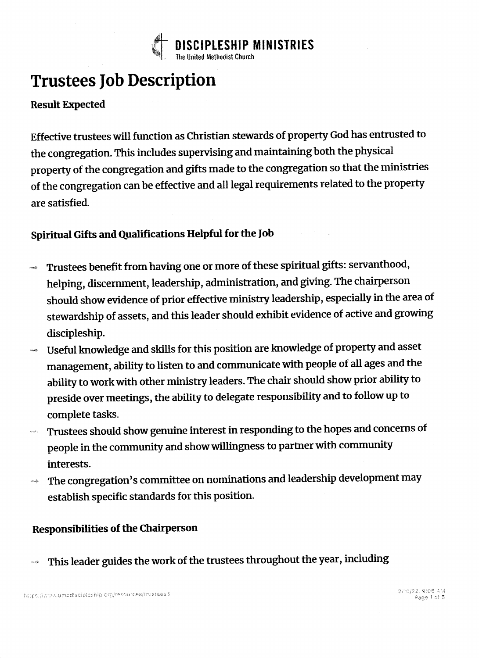

## Trustees Job Description

#### **Result Expected**

Effective trustees will function as Christian stewards of property God has entrusted to the congregation. This includes supervising and maintaining both the physical property of the congregation and gifts made to the congregation so that the ministries of the congregation can be effective and all legal requirements related to the property are satisfied.

### Spiritual Gifts and Qualifications Helpful for the Job

- Trustees benefit from having one or more of these spiritual gifts: servanthood, helping, discernment, leadership, administration, and giving. The chairperson should show evidence of prior effective ministry leadership, especially in the area of stewardship of assets, and this leader should exhibit evidence of active and growing discipleship.
- Useful knowledge and skills for this position are knowledge of property and asset management, ability to listen to and communicate with people of all ages and the ability to work with other ministry leaders. The chair should show prior ability to preside over meetings, the ability to delegate responsibility and to follow up to complete tasks.
- $\blacksquare$  Trustees should show genuine interest in responding to the hopes and concerns of people in the community and show willingness to partner with community interests.
- $\rightarrow \;\;$  The congregation's committee on nominations and leadership development may establish specific standards for this position.

#### Responsibilities of the Chairperson

 $\rightarrow$  This leader guides the work of the trustees throughout the year, including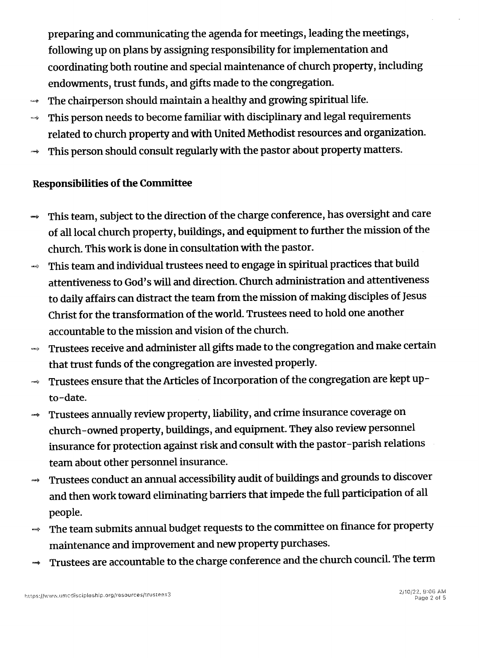preparing and communicating the agenda for meetings, leading the meetings , following up on plans by assigning responsibility for implementation and coordinating both routine and special maintenance of church property, including endowments, trust funds, and gifts made to the congregation.

- $\rightarrow$  The chairperson should maintain a healthy and growing spiritual life.
- $\rightarrow$  This person needs to become familiar with disciplinary and legal requirements related to church property and with United Methodist resources and organization.
- $\rightarrow$  This person should consult regularly with the pastor about property matters.

#### Responsibilities of the Committee

- $\rightarrow$  This team, subject to the direction of the charge conference, has oversight and care of all local church property, buildings, and equipment to further the mission of the church. 'This work is done in consultation with the pastor.
- $\rightarrow$  This team and individual trustees need to engage in spiritual practices that build attentiveness to God's will and direction. Church administration and attentiveness to daily affairs can distract the team from the mission of making disciples of Jesus Christ for the transformation of the world. Trustees need to hold one another accountable to the mission and vision of the church.
- $\rightarrow$  Trustees receive and administer all gifts made to the congregation and make certain that trust funds of the congregation are invested properly.
- $\rightarrow$  Trustees ensure that the Articles of Incorporation of the congregation are kept upto-date.
- $\rightarrow$  Trustees annually review property, liability, and crime insurance coverage on church-owned property, buildings, and equipment. They also review personnel insurance for protection against risk and consult with the pastor-parish relations team about other personnel insurance.
- $\rightarrow$  Trustees conduct an annual accessibility audit of buildings and grounds to discover and then work toward eliminating barriers that impede the full participation of all people.
- $\rightarrow$  The team submits annual budget requests to the committee on finance for property maintenance and improvement and new property purchases.
- $\rightarrow$  Trustees are accountable to the charge conference and the church council. The term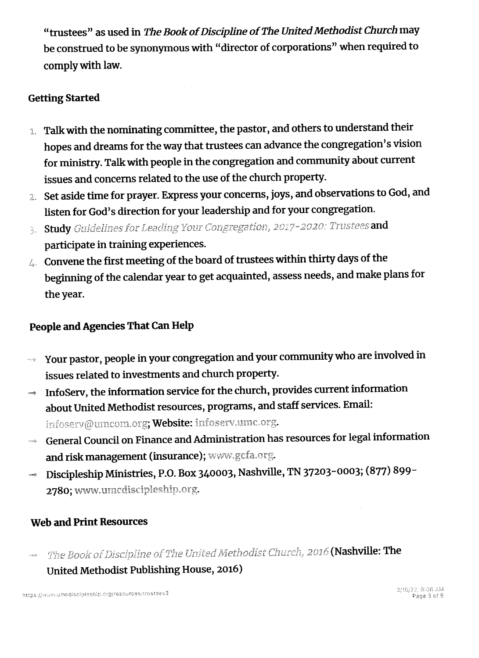"trustees" as used in The Book of Discipline of The United Methodist Church may be construed to be synonymous with "director of corporations" when required to comply with law.

#### **Getting Started**

- 1. Talk with the nominating committee, the pastor, and others to understand their hopes and dreams for the way that trustees can advance the congregation's vision for ministry. Talk with people in the congregation and community about current issues and concerns related to the use of the church property.
- 2. Set aside time for prayer. Express your concerns, joys, and observations to God, and listen for God's direction for your leadership and for your congregation.
- 3. Study Guidelines for Leading Your Congregation, 2017-2020: Trustees and participate in training experiences.
- 4. Convene the first meeting of the board of trustees within thirty days of the beginning of the calendar year to get acquainted, assess needs, and make plans for the year.

#### People and Agencies That Can Help

- Your pastor, people in your congregation and your community who are involved in issues related to investments and church property.
- InfoServ, the information service for the church, provides current information about United Methodist resources, programs, and staff services. Email: infoserv@umcom.org; Website: infoserv.umc.org.
- General Council on Finance and Administration has resources for legal information and risk management (insurance); www.gcfa.org.
- Discipleship Ministries, P.O. Box 340003, Nashville, TN 37203-0003; (877) 899-.<br>Aprova 2780; www.umcdiscipleship.org.

#### **Web and Print Resources**

The Book of Discipline of The United Methodist Church, 2016 (Nashville: The United Methodist Publishing House, 2016)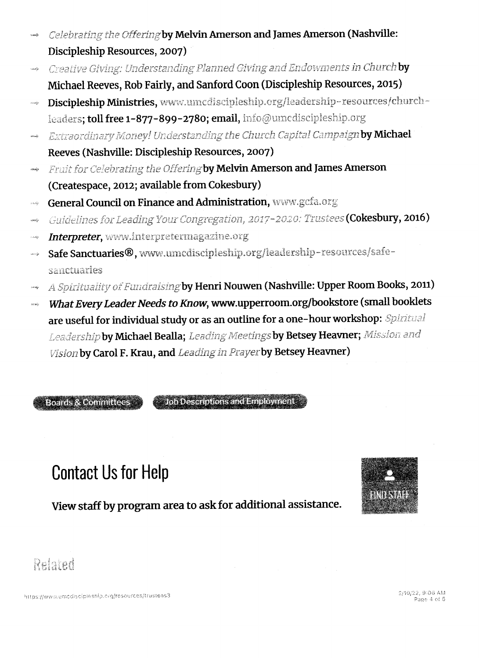- Celebrating the Offering by Melvin Amerson and James Amerson (Nashville: twardy Discipleship Resources, 2007)
- Creative Giving: Understanding Planned Giving and Endowments in Church by casiy Michael Reeves, Rob Fairly, and Sanford Coon (Discipleship Resources, 2015)
- Discipleship Ministries, www.umcdiscipleship.org/leadership-resources/church- $\cos\phi$ leaders; toll free 1-877-899-2780; email, info@umcdiscipleship.org
- Extraordinary Money! Understanding the Church Capital Campaign by Michael mak Reeves (Nashville: Discipleship Resources, 2007)
- Fruit for Celebrating the Offering by Melvin Amerson and James Amerson  $\langle \text{max} \rangle$ (Createspace, 2012; available from Cokesbury)
- General Council on Finance and Administration, www.gcfa.org  $\mu$  and
- Guidelines for Leading Your Congregation, 2017-2020: Trustees (Cokesbury, 2016) andy
- Interpreter, www.interpretermagazine.org
- Safe Sanctuaries®, www.umcdiscipleship.org/leadership-resources/safe-تؤاديت sanctuaries
- A Spirituality of Fundraising by Henri Nouwen (Nashville: Upper Room Books, 2011)
- What Every Leader Needs to Know, www.upperroom.org/bookstore (small booklets nody are useful for individual study or as an outline for a one-hour workshop: Spiritual Leadership by Michael Bealla; Leading Meetings by Betsey Heavner; Mission and Vision by Carol F. Krau, and Leading in Prayer by Betsey Heavner)

**Boards & Committees** 

**Job Descriptions and Employment** 

# **Contact Us for Help**

View staff by program area to ask for additional assistance.



Related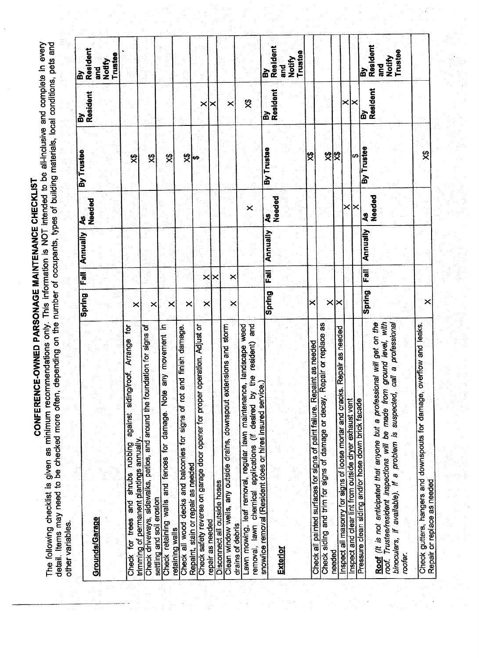CONFERENCE-OWNED PARSONAGE MAINTENANCE CHECKLIST

The following checklist is given as minimum recommendations only. This information is NOT intended to be all-inclusive and complete in every<br>detail. Items may need to be checked more often, depending on the number of occup other variables.

|                                                                                                                                |          |                | Annually | 2                   | By Trustee |                | à                 |
|--------------------------------------------------------------------------------------------------------------------------------|----------|----------------|----------|---------------------|------------|----------------|-------------------|
|                                                                                                                                | Spring   |                |          | Needed              |            | By<br>Resident | Resident          |
| Grounds/Garage                                                                                                                 |          |                |          |                     |            |                | nd<br>and         |
|                                                                                                                                |          |                |          |                     |            |                | Notlfy            |
|                                                                                                                                |          |                |          |                     |            |                | Trustee           |
| siding/roof. Arrange for                                                                                                       |          |                |          |                     |            |                |                   |
| against<br>Check for trees and shrubs rubbing                                                                                  | ×        |                |          |                     | 绶          |                |                   |
| dation for signs of<br>trimming of permanent plantings annually.                                                               |          |                |          |                     |            |                |                   |
| Check driveways, sidewalks, patios, and around the four                                                                        | ×        |                |          |                     | স্থ        |                |                   |
| settling and soil erosion                                                                                                      |          |                |          |                     |            |                |                   |
| any movement in<br>Check retaining walls and fences for damage. Note                                                           | ×        |                |          |                     | 奠          |                |                   |
| retaining walls                                                                                                                |          |                |          |                     |            |                |                   |
| Check all wood decks and balconies for signs of rot and finish damage-                                                         |          |                |          |                     |            |                |                   |
| Repaint, stain or repair as needed                                                                                             | $\times$ |                |          |                     | တ်မြ       |                |                   |
| peration. Adjust or<br>Check safety reverse on garage door opener for proper o                                                 |          |                |          |                     |            | ×              |                   |
| repair as needed                                                                                                               | ×        | $\times$       |          |                     |            |                |                   |
| Disconnect all outside hoses                                                                                                   |          | $\times$       |          |                     |            |                |                   |
| Clean window wells, any outside drains, downspout extensions and storm                                                         |          |                |          |                     |            |                |                   |
| drains of debris                                                                                                               | ×        | ×              |          |                     |            | ×              |                   |
| Lawn mowing, leaf removal, regular lawn maintenance, landscape weed                                                            |          |                |          |                     |            |                |                   |
| and                                                                                                                            |          |                |          | $\times$            |            | 罗              |                   |
| removal, lawn chemical applications (if desired by the resident)<br>snowlice removal (Resident does or hires insured service.) |          |                |          |                     |            |                |                   |
|                                                                                                                                | Spring   | $\overline{5}$ | Annually | $\ddot{\mathbf{z}}$ | By Trustee | By<br>Resident | By<br>Resident    |
|                                                                                                                                |          |                |          | Needed              |            |                |                   |
| Exterior                                                                                                                       |          |                |          |                     |            |                | and               |
|                                                                                                                                |          |                |          |                     |            |                | Notify            |
|                                                                                                                                |          |                |          |                     |            |                | Trustee           |
|                                                                                                                                | $\times$ |                |          |                     | 绶          |                |                   |
| Check all painted surfaces for signs of paint failure. Repaint as needed                                                       |          |                |          |                     |            |                |                   |
| Check siding and trim for signs of damage or decay. Repair or replace as                                                       |          |                |          |                     |            |                |                   |
| Repair as needed<br>needed                                                                                                     | ×l×      |                |          |                     | 였          |                |                   |
| Inspect all masonry for signs of loose mortar and cracks.                                                                      |          |                |          |                     |            | ×              |                   |
| Inspect and clear lint from outside dryer exhaust vent                                                                         |          |                |          | ×                   | G)         | ×              |                   |
| Pressure clean siding and/or hose down brick facade                                                                            |          |                |          |                     |            |                |                   |
|                                                                                                                                | Spring   | Fall           | Annually | $\ddot{\mathbf{z}}$ | By Trustee | ል              | à                 |
| Roof (it is not anticipated that anyone but a professional will get on the                                                     |          |                |          | Needed              |            | Resident       | Resident          |
| ground level, with<br>roof. Trustee/resident inspections will be made from                                                     |          |                |          |                     |            |                | <b>Pure</b>       |
| call a professional<br>binoculars, if available). If a problem is suspected,                                                   |          |                |          |                     |            |                | Notify<br>Trustee |
| rooter.                                                                                                                        |          |                |          |                     |            |                |                   |
|                                                                                                                                |          |                |          |                     |            |                |                   |
| Check gutters, hangers and downspouts for damage, overflow and leaks.                                                          |          |                |          |                     |            |                |                   |
| Repair or replace as needed                                                                                                    | $\times$ |                |          |                     | 笅          |                |                   |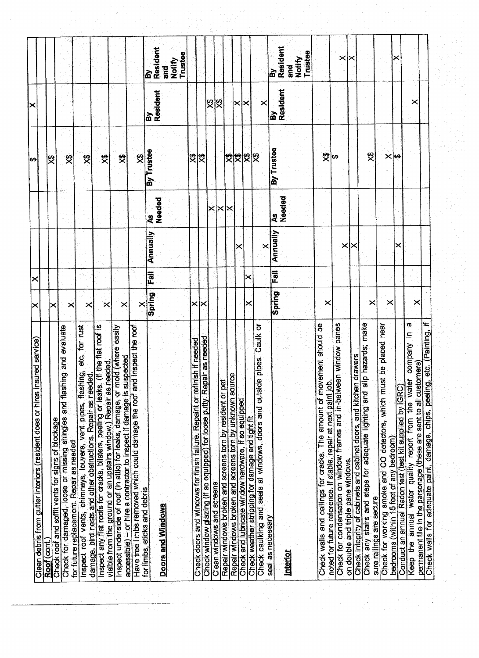|                                                                                                                                               |                |                    |          |              | Ι⇔            | ⋉              |                      |
|-----------------------------------------------------------------------------------------------------------------------------------------------|----------------|--------------------|----------|--------------|---------------|----------------|----------------------|
| Clean debris from gutter interiors (resident does or hires insured service)                                                                   | ×              | ×                  |          |              |               |                |                      |
| Roof (cont.)                                                                                                                                  | ×              |                    |          |              | 罖             |                |                      |
| evaluate<br>Check for damaged, loose or missing shingles and flashing and<br>Check roof and soffit vents for signs of blockage                |                |                    |          |              |               |                |                      |
| for future replacement. Repair as needed                                                                                                      | ×              |                    |          |              | ষ্ট্          |                |                      |
| etc. for rust<br>Inspect roof vents, chimneys, louvers, vent pipes, flashing,                                                                 | ×              |                    |          |              | 绶             |                |                      |
| damage, bird nests and other obstructions. Repair as needed.                                                                                  |                |                    |          |              |               |                |                      |
| flat roof is<br>Inspect any flat roofs for cracks, bilsters, peeling or leaks. (If the                                                        | ×              |                    |          |              | 笅             |                |                      |
| visible from the ground or an upstairs window.) Repair as needed.<br>Inspect underside of roof (in attic) for leaks, damage, or mold (wh      |                |                    |          |              |               |                |                      |
| ere easily<br>accessible) - or hire a contractor to inspect if damage is suspected                                                            | ×              |                    |          |              | 罗             |                |                      |
| Have tree limbs removed which could damage the roof and inspect the roof                                                                      |                |                    |          |              | 9<br>父        |                |                      |
| for limbs, sticks and debris                                                                                                                  | Spring<br>×    | Fall               | Annually | 2            | By Trustee    | ፚ፞             | <u>ត្រ</u>           |
| <b>Doors and Windows</b>                                                                                                                      |                |                    |          | Needed       |               | Resident       | Resident<br>and<br>5 |
|                                                                                                                                               |                |                    |          |              |               |                | Trustee<br>Notify    |
| Check doors and windows for finish failure. Repaint or refinish if needed                                                                     | $\pmb{\times}$ |                    |          |              | 笅             |                |                      |
| Check window glazing (if so equipped) for loose putty. Repair as needed                                                                       |                |                    |          |              | 馋             |                |                      |
|                                                                                                                                               |                |                    |          | ×            |               | 罖              |                      |
| Clean windows and screens                                                                                                                     |                |                    |          | ×            |               | 焁              |                      |
| Repair windows broken and screens torn by unknown source<br>Repair windows broken and screens torn by resident or pet                         |                |                    |          | ×            | 罖             |                |                      |
| Check and lubricate window hardware, if so equipped                                                                                           |                |                    |          |              | $\frac{3}{2}$ | ×              |                      |
| Check weather stripping for damage and tight fit                                                                                              | ×              | ∣×                 |          |              | 있었            | ×              |                      |
| Caulk or<br>Check caulking and seals at windows, doors and outside pipes                                                                      |                |                    |          |              |               |                |                      |
| seal as necessary                                                                                                                             |                |                    | ×        |              |               | X              |                      |
|                                                                                                                                               | Spring         | $\overline{F}$ all | Annually | Needed<br>ধ্ | By Trustee    | By<br>Resident | Resident<br><b>R</b> |
| Interior                                                                                                                                      |                |                    |          |              |               |                | and<br>G             |
|                                                                                                                                               |                |                    |          |              |               |                | <b>Notlify</b>       |
|                                                                                                                                               |                |                    |          |              |               |                | Trustee              |
| should be<br>Check walls and ceilings for cracks. The amount of movement                                                                      |                |                    |          |              |               |                |                      |
| noted for future reference. If stable, repair at next paint job.                                                                              | ×              |                    |          |              | 财<br>မာ       |                |                      |
| Check for condensation on window frames and in-between window panes                                                                           |                |                    |          |              |               |                | ×                    |
| on double and triple pane windows.                                                                                                            |                |                    | ×l≻      |              |               |                |                      |
| Check any stairs and steps for adequate lighting and slip hazards; make<br>Check integrity of cabinets and cabinet doors, and kitchen drawers |                |                    |          |              |               |                |                      |
| sure railings are secure                                                                                                                      | ×              |                    |          |              | 罖             |                |                      |
| near<br>laced<br>Check for working smoke and CO detectors, which must be pl                                                                   |                |                    |          |              |               |                |                      |
| bedrooms (within 15 feet of any bedroom)                                                                                                      | ×              |                    | ×        |              | $\times$ lea  |                | х                    |
| Conduct an annual Radon test (test kit supplied by IGRC)                                                                                      |                |                    |          |              |               |                |                      |
| σ<br>Keep the annual water quality report from the water company in<br>permanent file in the parsonage (these are sent to all customers)      | ×              |                    |          |              |               | ×              |                      |
| $\equiv$<br>Painting,<br>Check walls for adequate paint, damage, chips, peeling, etc. (                                                       |                |                    |          |              |               |                |                      |

 $\frac{1}{2} \frac{1}{2} \frac{1}{2}$  .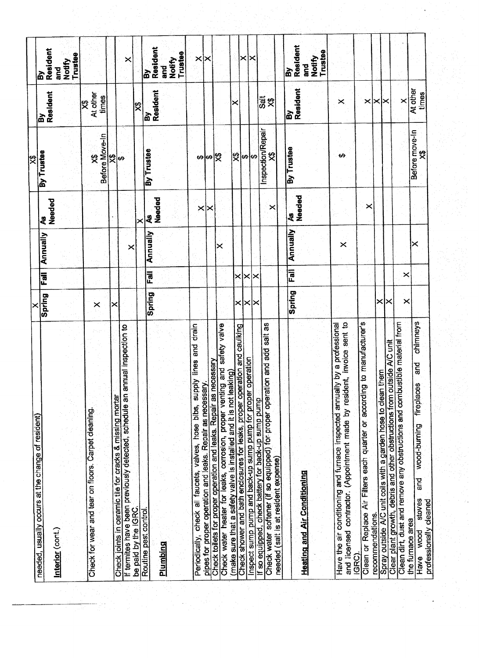| needed, usually occurs at the change of resident)                                                                                                               |          | Fall                  |          | දී          | By Trustee                 |                   | <u>ሬ</u>                                  |
|-----------------------------------------------------------------------------------------------------------------------------------------------------------------|----------|-----------------------|----------|-------------|----------------------------|-------------------|-------------------------------------------|
|                                                                                                                                                                 | Spring   |                       | Annually |             |                            | ፌ                 | Resident                                  |
| Interior (cont.)                                                                                                                                                |          |                       |          | Needed      |                            | Resident          | nd<br>and                                 |
|                                                                                                                                                                 |          |                       |          |             |                            |                   | Trustee<br>Notify                         |
|                                                                                                                                                                 |          |                       |          |             |                            | 罗                 |                                           |
| Check for wear and tear on floors. Carpet deaning.                                                                                                              | $\times$ |                       |          |             | $\boldsymbol{\mathcal{Z}}$ | At other<br>times |                                           |
|                                                                                                                                                                 |          |                       |          |             | Before Move-In             |                   |                                           |
| Check joints in ceramic tile for cracks & missing mortar                                                                                                        |          |                       |          |             | မာ                         |                   |                                           |
| If termites have been previously detected, schedule an annual inspection to<br>be paid by the IGRC.                                                             |          |                       | ×        |             |                            |                   | ×                                         |
|                                                                                                                                                                 |          |                       |          | ×           |                            | 绶                 |                                           |
| Routine pest control.                                                                                                                                           | Spring   | Fall                  | Annually | 2           | By Trustee                 | Resident<br>ត     | Resident<br>la                            |
| <b>Plumbing</b>                                                                                                                                                 |          |                       |          | Needed      |                            |                   | Notify<br>Trustee<br>and<br>a             |
| drain<br>eng<br>G<br>Periodically, check all faucets, valves, hose bibs, supply lines                                                                           |          |                       |          | ×           |                            |                   |                                           |
| pipes for proper operation and leaks. Repair as necessary.                                                                                                      |          |                       |          | ∝           |                            |                   | ×∣×                                       |
| Check tollets for proper operation and leaks. Repair as necessary                                                                                               |          |                       |          |             | မေဆြ                       |                   |                                           |
| Check water heater for leaks, corrosion, proper venting and safety valve<br>(make sure that a safety valve is installed and it is not leaking).                 |          |                       | ×        |             |                            |                   |                                           |
| Check shower and bath enclosures for leaks, proper operation and caulking                                                                                       |          | $\boldsymbol{\times}$ |          |             | 绶                          | ×                 |                                           |
| Inspect sump pump and back-up sump pump for proper operation                                                                                                    | x∣x∣x    | ×∣×                   |          |             | မာ                         |                   | ×                                         |
| If so equipped, check battery for back-up sump pump                                                                                                             |          |                       |          |             | Đ,                         |                   | ×                                         |
| 8<br>dd sait<br>Check water softener (if so equipped) for proper operation and a<br>needed (salt is at resident expense)                                        |          |                       |          | ×           | Inspection/Repair<br>笅     | $\frac{1}{3}$     |                                           |
|                                                                                                                                                                 |          |                       |          |             |                            |                   | 孟                                         |
| <b>Heating and Air Conditioning</b>                                                                                                                             | Spring   | Fail                  | Annually | Needed<br>ર | By Trustee                 | By<br>Resident    | Resident<br>Notify<br>Trustee<br>nd<br>Si |
| and licensed contractor. (Appointment made by resident, invoice sent to<br>Have the air conditioning and furnace inspected annually by a professional<br>IGRC). |          |                       | $\times$ |             | ↔                          | ×                 |                                           |
| Clean or Replace Air Filters each quarter or according to manufacturer's                                                                                        |          |                       |          | ×           |                            | ×                 |                                           |
| recommendations.                                                                                                                                                | ×        |                       |          |             |                            | l×l×              |                                           |
| Clear plant growth, debris and other obstructions from outside A/C unit<br>Spray outside A/C unit colls with a garden hose to clean them                        | ×        |                       |          |             |                            |                   |                                           |
| Clean dirt, dust and remove any obstructions and combustible material from                                                                                      | ×        | ×                     |          |             |                            | ×                 |                                           |
| chimneys<br><b>DuB</b><br>fireplaces<br>wood-burning<br>and<br>Fa<br>stoves<br>professionally cleaned<br>the furnace area<br>wood<br>Have                       |          |                       | ⋉        |             | Before move-In<br>燹        | At other<br>times |                                           |